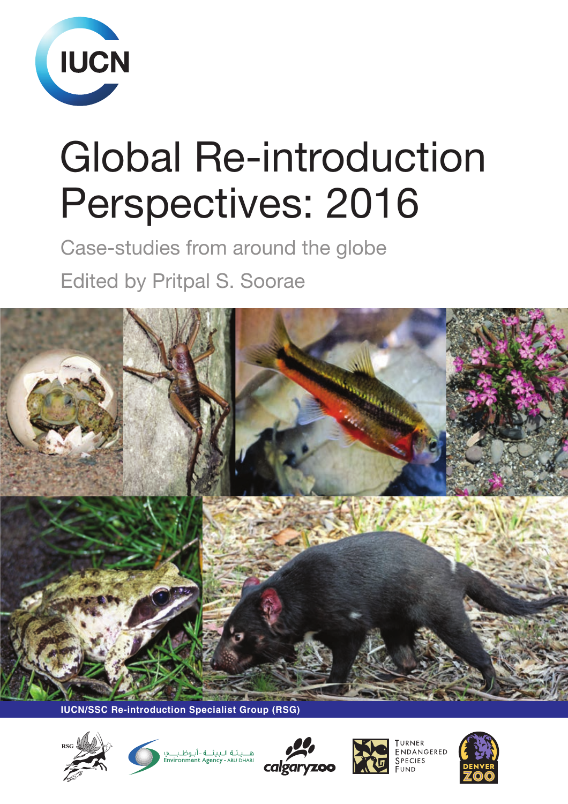

# Global Re-introduction Perspectives: 2016

Case-studies from around the globe Edited by Pritpal S. Soorae



**IUCN/SSC Re-introduction Specialist Group (RSG)**





هــــيــئــة الــبيـثـــة - أبــوطــر<br>onment Agency - ABU DHABI calgary



NDANGERED \_<br>Species

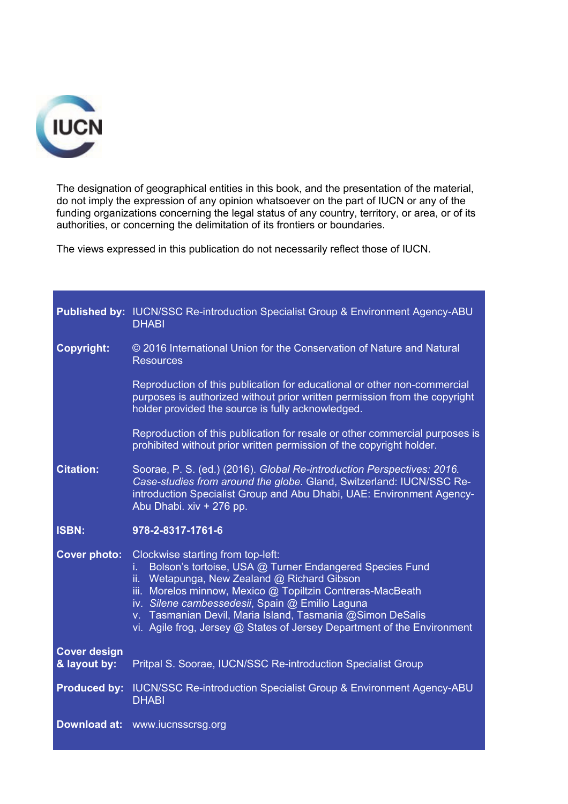

The designation of geographical entities in this book, and the presentation of the material, do not imply the expression of any opinion whatsoever on the part of IUCN or any of the funding organizations concerning the legal status of any country, territory, or area, or of its authorities, or concerning the delimitation of its frontiers or boundaries.

The views expressed in this publication do not necessarily reflect those of IUCN.

|                                     | <b>Published by: IUCN/SSC Re-introduction Specialist Group &amp; Environment Agency-ABU</b><br><b>DHABI</b>                                                                                                                                                                                                                                                                                                   |  |  |
|-------------------------------------|---------------------------------------------------------------------------------------------------------------------------------------------------------------------------------------------------------------------------------------------------------------------------------------------------------------------------------------------------------------------------------------------------------------|--|--|
| <b>Copyright:</b>                   | © 2016 International Union for the Conservation of Nature and Natural<br><b>Resources</b>                                                                                                                                                                                                                                                                                                                     |  |  |
|                                     | Reproduction of this publication for educational or other non-commercial<br>purposes is authorized without prior written permission from the copyright<br>holder provided the source is fully acknowledged.                                                                                                                                                                                                   |  |  |
|                                     | Reproduction of this publication for resale or other commercial purposes is<br>prohibited without prior written permission of the copyright holder.                                                                                                                                                                                                                                                           |  |  |
| <b>Citation:</b>                    | Soorae, P. S. (ed.) (2016). Global Re-introduction Perspectives: 2016.<br>Case-studies from around the globe. Gland, Switzerland: IUCN/SSC Re-<br>introduction Specialist Group and Abu Dhabi, UAE: Environment Agency-<br>Abu Dhabi. xiv + 276 pp.                                                                                                                                                           |  |  |
|                                     |                                                                                                                                                                                                                                                                                                                                                                                                               |  |  |
| <b>ISBN:</b>                        | 978-2-8317-1761-6                                                                                                                                                                                                                                                                                                                                                                                             |  |  |
| <b>Cover photo:</b>                 | Clockwise starting from top-left:<br>Bolson's tortoise, USA @ Turner Endangered Species Fund<br>Ĺ.<br>Wetapunga, New Zealand @ Richard Gibson<br>ii.<br>iii. Morelos minnow, Mexico @ Topiltzin Contreras-MacBeath<br>iv. Silene cambessedesii, Spain @ Emilio Laguna<br>v. Tasmanian Devil, Maria Island, Tasmania @Simon DeSalis<br>vi. Agile frog, Jersey @ States of Jersey Department of the Environment |  |  |
| <b>Cover design</b><br>& layout by: | Pritpal S. Soorae, IUCN/SSC Re-introduction Specialist Group                                                                                                                                                                                                                                                                                                                                                  |  |  |
| <b>Produced by:</b>                 | <b>IUCN/SSC Re-introduction Specialist Group &amp; Environment Agency-ABU</b><br><b>DHABI</b>                                                                                                                                                                                                                                                                                                                 |  |  |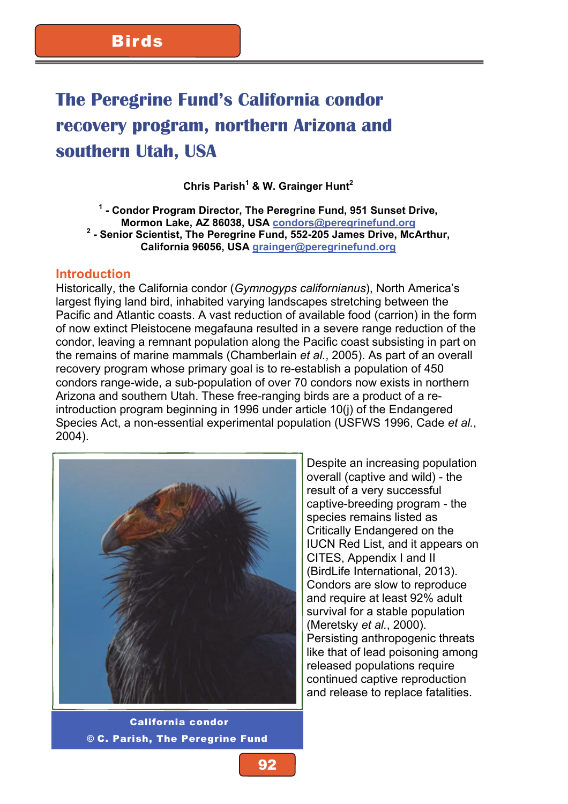# **The Peregrine Fund's California condor recovery program, northern Arizona and southern Utah, USA**

**Chris Parish<sup>1</sup> & W. Grainger Hunt2** 

**1 - Condor Program Director, The Peregrine Fund, 951 Sunset Drive, Mormon Lake, AZ 86038, USA condors@peregrinefund.org <sup>2</sup>** <sup>2</sup> - Senior Scientist, The Peregrine Fund, 552-205 James Drive, McArthur, **California 96056, USA grainger@peregrinefund.org**

#### **Introduction**

Historically, the California condor (*Gymnogyps californianus*), North America's largest flying land bird, inhabited varying landscapes stretching between the Pacific and Atlantic coasts. A vast reduction of available food (carrion) in the form of now extinct Pleistocene megafauna resulted in a severe range reduction of the condor, leaving a remnant population along the Pacific coast subsisting in part on the remains of marine mammals (Chamberlain *et al.*, 2005). As part of an overall recovery program whose primary goal is to re-establish a population of 450 condors range-wide, a sub-population of over 70 condors now exists in northern Arizona and southern Utah. These free-ranging birds are a product of a reintroduction program beginning in 1996 under article 10(j) of the Endangered Species Act, a non-essential experimental population (USFWS 1996, Cade *et al.*, 2004).



 California condor © C. Parish, The Peregrine Fund

Despite an increasing population overall (captive and wild) - the result of a very successful captive-breeding program - the species remains listed as Critically Endangered on the IUCN Red List, and it appears on CITES, Appendix I and II (BirdLife International, 2013). Condors are slow to reproduce and require at least 92% adult survival for a stable population (Meretsky *et al.*, 2000). Persisting anthropogenic threats like that of lead poisoning among released populations require continued captive reproduction and release to replace fatalities.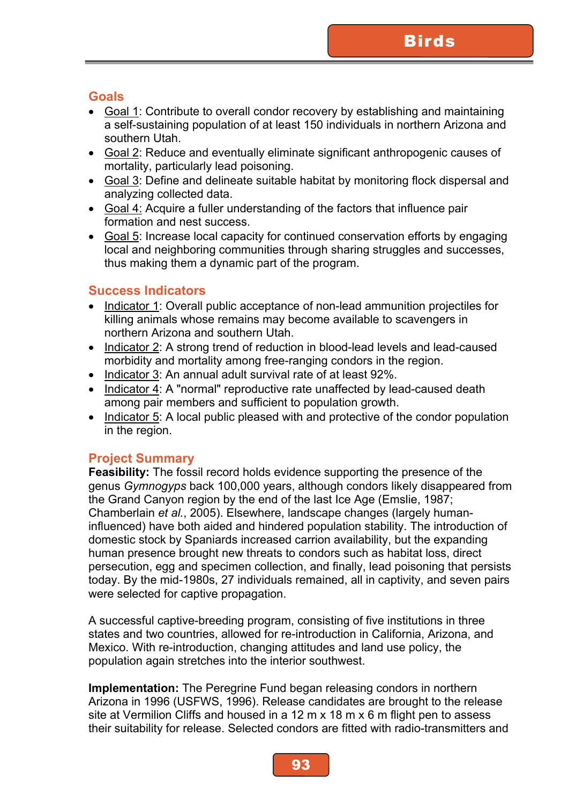### **Goals**

- Goal 1: Contribute to overall condor recovery by establishing and maintaining a self-sustaining population of at least 150 individuals in northern Arizona and southern Utah.
- Goal 2: Reduce and eventually eliminate significant anthropogenic causes of mortality, particularly lead poisoning.
- Goal 3: Define and delineate suitable habitat by monitoring flock dispersal and analyzing collected data.
- Goal 4: Acquire a fuller understanding of the factors that influence pair formation and nest success.
- Goal 5: Increase local capacity for continued conservation efforts by engaging local and neighboring communities through sharing struggles and successes, thus making them a dynamic part of the program.

#### **Success Indicators**

- Indicator 1: Overall public acceptance of non-lead ammunition projectiles for killing animals whose remains may become available to scavengers in northern Arizona and southern Utah.
- Indicator 2: A strong trend of reduction in blood-lead levels and lead-caused morbidity and mortality among free-ranging condors in the region.
- Indicator 3: An annual adult survival rate of at least 92%.
- Indicator 4: A "normal" reproductive rate unaffected by lead-caused death among pair members and sufficient to population growth.
- Indicator 5: A local public pleased with and protective of the condor population in the region.

## **Project Summary**

**Feasibility:** The fossil record holds evidence supporting the presence of the genus *Gymnogyps* back 100,000 years, although condors likely disappeared from the Grand Canyon region by the end of the last Ice Age (Emslie, 1987; Chamberlain *et al.*, 2005). Elsewhere, landscape changes (largely humaninfluenced) have both aided and hindered population stability. The introduction of domestic stock by Spaniards increased carrion availability, but the expanding human presence brought new threats to condors such as habitat loss, direct persecution, egg and specimen collection, and finally, lead poisoning that persists today. By the mid-1980s, 27 individuals remained, all in captivity, and seven pairs were selected for captive propagation.

A successful captive-breeding program, consisting of five institutions in three states and two countries, allowed for re-introduction in California, Arizona, and Mexico. With re-introduction, changing attitudes and land use policy, the population again stretches into the interior southwest.

**Implementation:** The Peregrine Fund began releasing condors in northern Arizona in 1996 (USFWS, 1996). Release candidates are brought to the release site at Vermilion Cliffs and housed in a 12 m x 18 m x 6 m flight pen to assess their suitability for release. Selected condors are fitted with radio-transmitters and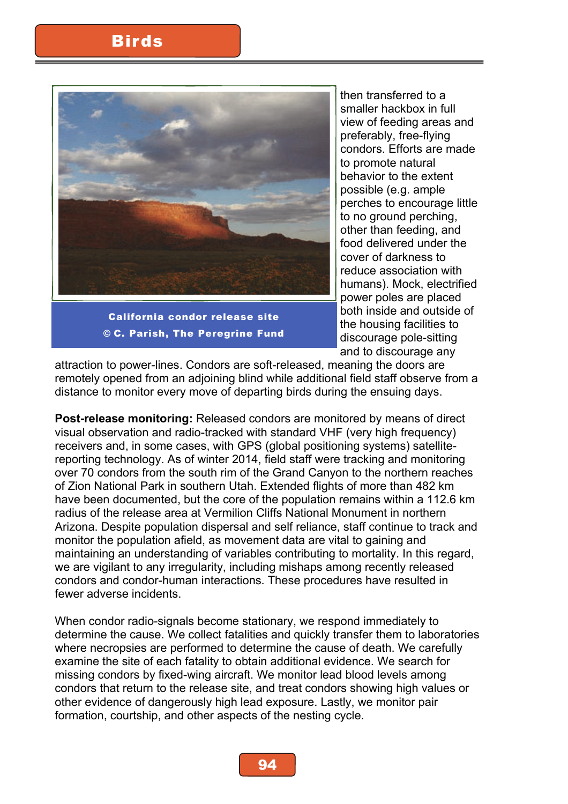

California condor release site © C. Parish, The Peregrine Fund

then transferred to a smaller hackbox in full view of feeding areas and preferably, free-flying condors. Efforts are made to promote natural behavior to the extent possible (e.g. ample perches to encourage little to no ground perching, other than feeding, and food delivered under the cover of darkness to reduce association with humans). Mock, electrified power poles are placed both inside and outside of the housing facilities to discourage pole-sitting and to discourage any

attraction to power-lines. Condors are soft-released, meaning the doors are remotely opened from an adjoining blind while additional field staff observe from a distance to monitor every move of departing birds during the ensuing days.

**Post-release monitoring:** Released condors are monitored by means of direct visual observation and radio-tracked with standard VHF (very high frequency) receivers and, in some cases, with GPS (global positioning systems) satellitereporting technology. As of winter 2014, field staff were tracking and monitoring over 70 condors from the south rim of the Grand Canyon to the northern reaches of Zion National Park in southern Utah. Extended flights of more than 482 km have been documented, but the core of the population remains within a 112.6 km radius of the release area at Vermilion Cliffs National Monument in northern Arizona. Despite population dispersal and self reliance, staff continue to track and monitor the population afield, as movement data are vital to gaining and maintaining an understanding of variables contributing to mortality. In this regard, we are vigilant to any irregularity, including mishaps among recently released condors and condor-human interactions. These procedures have resulted in fewer adverse incidents.

When condor radio-signals become stationary, we respond immediately to determine the cause. We collect fatalities and quickly transfer them to laboratories where necropsies are performed to determine the cause of death. We carefully examine the site of each fatality to obtain additional evidence. We search for missing condors by fixed-wing aircraft. We monitor lead blood levels among condors that return to the release site, and treat condors showing high values or other evidence of dangerously high lead exposure. Lastly, we monitor pair formation, courtship, and other aspects of the nesting cycle.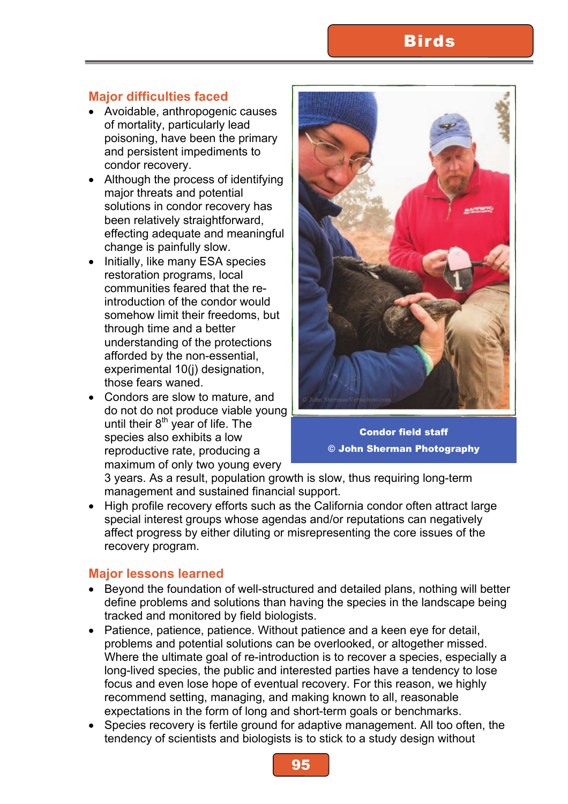# **Birds**

## **Major difficulties faced**

- Avoidable, anthropogenic causes of mortality, particularly lead poisoning, have been the primary and persistent impediments to condor recovery.
- Although the process of identifying major threats and potential solutions in condor recovery has been relatively straightforward, effecting adequate and meaningful change is painfully slow.
- Initially, like many ESA species restoration programs, local communities feared that the reintroduction of the condor would somehow limit their freedoms, but through time and a better understanding of the protections afforded by the non-essential, experimental 10(j) designation, those fears waned.
- Condors are slow to mature, and do not do not produce viable young until their  $8<sup>th</sup>$  year of life. The species also exhibits a low reproductive rate, producing a maximum of only two young every



Condor field staff © John Sherman Photography

3 years. As a result, population growth is slow, thus requiring long-term management and sustained financial support.

High profile recovery efforts such as the California condor often attract large special interest groups whose agendas and/or reputations can negatively affect progress by either diluting or misrepresenting the core issues of the recovery program.

#### **Major lessons learned**

- Beyond the foundation of well-structured and detailed plans, nothing will better define problems and solutions than having the species in the landscape being tracked and monitored by field biologists.
- Patience, patience, patience. Without patience and a keen eye for detail, problems and potential solutions can be overlooked, or altogether missed. Where the ultimate goal of re-introduction is to recover a species, especially a long-lived species, the public and interested parties have a tendency to lose focus and even lose hope of eventual recovery. For this reason, we highly recommend setting, managing, and making known to all, reasonable expectations in the form of long and short-term goals or benchmarks.
- Species recovery is fertile ground for adaptive management. All too often, the tendency of scientists and biologists is to stick to a study design without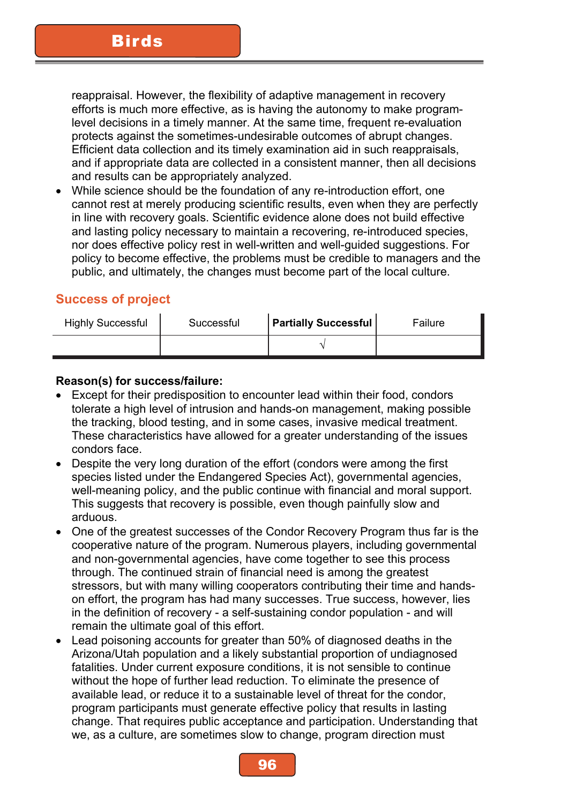reappraisal. However, the flexibility of adaptive management in recovery efforts is much more effective, as is having the autonomy to make programlevel decisions in a timely manner. At the same time, frequent re-evaluation protects against the sometimes-undesirable outcomes of abrupt changes. Efficient data collection and its timely examination aid in such reappraisals, and if appropriate data are collected in a consistent manner, then all decisions and results can be appropriately analyzed.

While science should be the foundation of any re-introduction effort, one cannot rest at merely producing scientific results, even when they are perfectly in line with recovery goals. Scientific evidence alone does not build effective and lasting policy necessary to maintain a recovering, re-introduced species, nor does effective policy rest in well-written and well-guided suggestions. For policy to become effective, the problems must be credible to managers and the public, and ultimately, the changes must become part of the local culture.

#### **Success of project**

| <b>Highly Successful</b> | Successful | <b>Partially Successful</b> | Failure |
|--------------------------|------------|-----------------------------|---------|
|                          |            |                             |         |

#### **Reason(s) for success/failure:**

- Except for their predisposition to encounter lead within their food, condors tolerate a high level of intrusion and hands-on management, making possible the tracking, blood testing, and in some cases, invasive medical treatment. These characteristics have allowed for a greater understanding of the issues condors face.
- Despite the very long duration of the effort (condors were among the first species listed under the Endangered Species Act), governmental agencies, well-meaning policy, and the public continue with financial and moral support. This suggests that recovery is possible, even though painfully slow and arduous.
- One of the greatest successes of the Condor Recovery Program thus far is the cooperative nature of the program. Numerous players, including governmental and non-governmental agencies, have come together to see this process through. The continued strain of financial need is among the greatest stressors, but with many willing cooperators contributing their time and handson effort, the program has had many successes. True success, however, lies in the definition of recovery - a self-sustaining condor population - and will remain the ultimate goal of this effort.
- Lead poisoning accounts for greater than 50% of diagnosed deaths in the Arizona/Utah population and a likely substantial proportion of undiagnosed fatalities. Under current exposure conditions, it is not sensible to continue without the hope of further lead reduction. To eliminate the presence of available lead, or reduce it to a sustainable level of threat for the condor, program participants must generate effective policy that results in lasting change. That requires public acceptance and participation. Understanding that we, as a culture, are sometimes slow to change, program direction must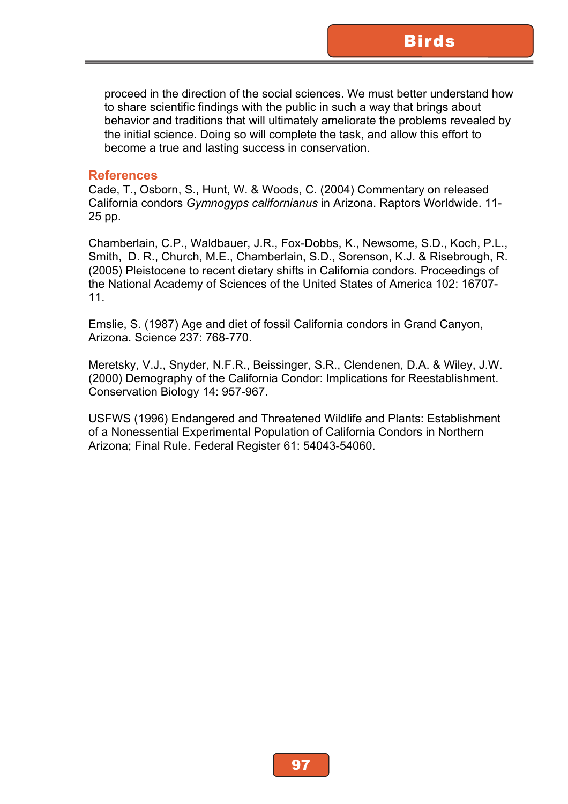proceed in the direction of the social sciences. We must better understand how to share scientific findings with the public in such a way that brings about behavior and traditions that will ultimately ameliorate the problems revealed by the initial science. Doing so will complete the task, and allow this effort to become a true and lasting success in conservation.

#### **References**

Cade, T., Osborn, S., Hunt, W. & Woods, C. (2004) Commentary on released California condors *Gymnogyps californianus* in Arizona. Raptors Worldwide. 11- 25 pp.

Chamberlain, C.P., Waldbauer, J.R., Fox-Dobbs, K., Newsome, S.D., Koch, P.L., Smith, D. R., Church, M.E., Chamberlain, S.D., Sorenson, K.J. & Risebrough, R. (2005) Pleistocene to recent dietary shifts in California condors. Proceedings of the National Academy of Sciences of the United States of America 102: 16707- 11.

Emslie, S. (1987) Age and diet of fossil California condors in Grand Canyon, Arizona. Science 237: 768-770.

Meretsky, V.J., Snyder, N.F.R., Beissinger, S.R., Clendenen, D.A. & Wiley, J.W. (2000) Demography of the California Condor: Implications for Reestablishment. Conservation Biology 14: 957-967.

USFWS (1996) Endangered and Threatened Wildlife and Plants: Establishment of a Nonessential Experimental Population of California Condors in Northern Arizona; Final Rule. Federal Register 61: 54043-54060.